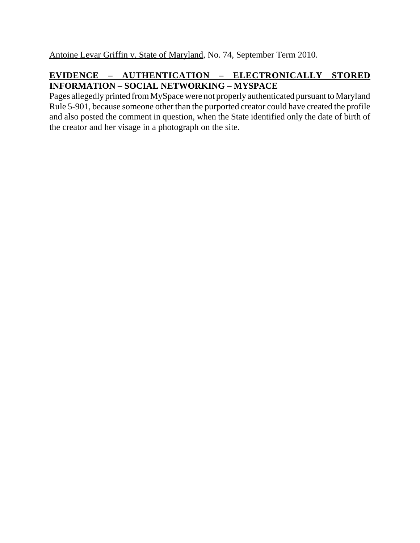Antoine Levar Griffin v. State of Maryland, No. 74, September Term 2010.

# **EVIDENCE – AUTHENTICATION – ELECTRONICALLY STORED INFORMATION – SOCIAL NETWORKING – MYSPACE**

Pages allegedly printed from MySpace were not properly authenticated pursuant to Maryland Rule 5-901, because someone other than the purported creator could have created the profile and also posted the comment in question, when the State identified only the date of birth of the creator and her visage in a photograph on the site.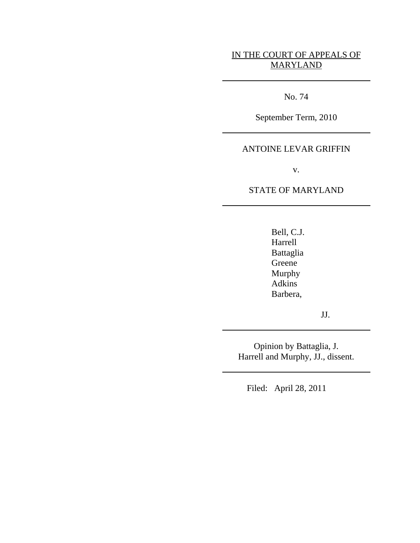## IN THE COURT OF APPEALS OF MARYLAND

No. 74

September Term, 2010

## ANTOINE LEVAR GRIFFIN

v.

STATE OF MARYLAND

Bell, C.J. Harrell Battaglia Greene Murphy Adkins Barbera,

JJ.

Opinion by Battaglia, J. Harrell and Murphy, JJ., dissent.

Filed: April 28, 2011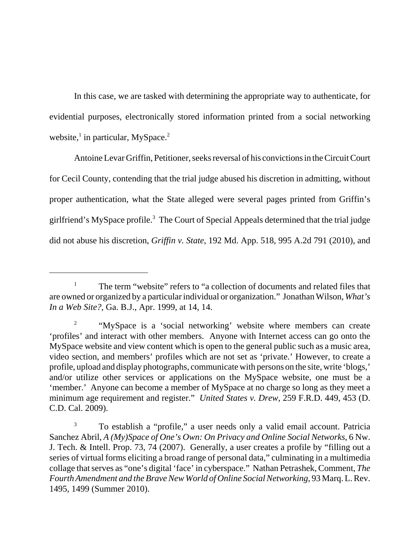In this case, we are tasked with determining the appropriate way to authenticate, for evidential purposes, electronically stored information printed from a social networking website, $\frac{1}{1}$  in particular, MySpace.<sup>2</sup>

Antoine Levar Griffin, Petitioner, seeks reversal of his convictions in the Circuit Court for Cecil County, contending that the trial judge abused his discretion in admitting, without proper authentication, what the State alleged were several pages printed from Griffin's girlfriend's MySpace profile.<sup>3</sup> The Court of Special Appeals determined that the trial judge did not abuse his discretion, *Griffin v. State*, 192 Md. App. 518, 995 A.2d 791 (2010), and

<sup>&</sup>lt;sup>1</sup> The term "website" refers to "a collection of documents and related files that are owned or organized by a particular individual or organization." Jonathan Wilson, *What's In a Web Site?*, Ga. B.J., Apr. 1999, at 14, 14.

<sup>&</sup>lt;sup>2</sup> "MySpace is a 'social networking' website where members can create 'profiles' and interact with other members. Anyone with Internet access can go onto the MySpace website and view content which is open to the general public such as a music area, video section, and members' profiles which are not set as 'private.' However, to create a profile, upload and display photographs, communicate with persons on the site, write 'blogs,' and/or utilize other services or applications on the MySpace website, one must be a 'member.' Anyone can become a member of MySpace at no charge so long as they meet a minimum age requirement and register." *United States v. Drew*, 259 F.R.D. 449, 453 (D. C.D. Cal. 2009).

<sup>3</sup> To establish a "profile," a user needs only a valid email account. Patricia Sanchez Abril, *A (My)Space of One's Own: On Privacy and Online Social Networks*, 6 Nw. J. Tech. & Intell. Prop. 73, 74 (2007). Generally, a user creates a profile by "filling out a series of virtual forms eliciting a broad range of personal data," culminating in a multimedia collage that serves as "one's digital 'face' in cyberspace." Nathan Petrashek, Comment, *The Fourth Amendment and the Brave New World of Online Social Networking*, 93 Marq. L. Rev. 1495, 1499 (Summer 2010).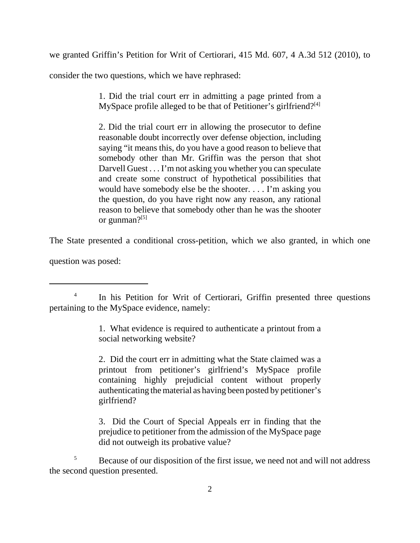we granted Griffin's Petition for Writ of Certiorari, 415 Md. 607, 4 A.3d 512 (2010), to

consider the two questions, which we have rephrased:

1. Did the trial court err in admitting a page printed from a MySpace profile alleged to be that of Petitioner's girlfriend?<sup>[4]</sup>

2. Did the trial court err in allowing the prosecutor to define reasonable doubt incorrectly over defense objection, including saying "it means this, do you have a good reason to believe that somebody other than Mr. Griffin was the person that shot Darvell Guest . . . I'm not asking you whether you can speculate and create some construct of hypothetical possibilities that would have somebody else be the shooter. . . . I'm asking you the question, do you have right now any reason, any rational reason to believe that somebody other than he was the shooter or gunman? $[5]$ 

The State presented a conditional cross-petition, which we also granted, in which one question was posed:

1. What evidence is required to authenticate a printout from a social networking website?

2. Did the court err in admitting what the State claimed was a printout from petitioner's girlfriend's MySpace profile containing highly prejudicial content without properly authenticating the material as having been posted by petitioner's girlfriend?

3. Did the Court of Special Appeals err in finding that the prejudice to petitioner from the admission of the MySpace page did not outweigh its probative value?

<sup>5</sup> Because of our disposition of the first issue, we need not and will not address the second question presented.

<sup>&</sup>lt;sup>4</sup> In his Petition for Writ of Certiorari, Griffin presented three questions pertaining to the MySpace evidence, namely: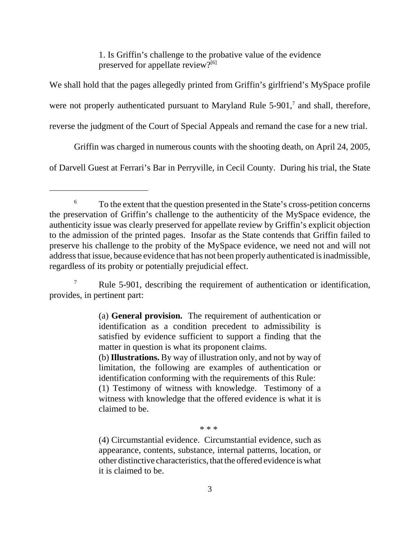1. Is Griffin's challenge to the probative value of the evidence preserved for appellate review?[6]

We shall hold that the pages allegedly printed from Griffin's girlfriend's MySpace profile were not properly authenticated pursuant to Maryland Rule  $5-901$ ,<sup>7</sup> and shall, therefore, reverse the judgment of the Court of Special Appeals and remand the case for a new trial.

Griffin was charged in numerous counts with the shooting death, on April 24, 2005,

of Darvell Guest at Ferrari's Bar in Perryville, in Cecil County. During his trial, the State

<sup>7</sup> Rule 5-901, describing the requirement of authentication or identification, provides, in pertinent part:

> (a) **General provision.** The requirement of authentication or identification as a condition precedent to admissibility is satisfied by evidence sufficient to support a finding that the matter in question is what its proponent claims.

> (b) **Illustrations.** By way of illustration only, and not by way of limitation, the following are examples of authentication or identification conforming with the requirements of this Rule:

> (1) Testimony of witness with knowledge. Testimony of a witness with knowledge that the offered evidence is what it is claimed to be.

> > \* \* \*

(4) Circumstantial evidence. Circumstantial evidence, such as appearance, contents, substance, internal patterns, location, or other distinctive characteristics, that the offered evidence is what it is claimed to be.

<sup>6</sup> To the extent that the question presented in the State's cross-petition concerns the preservation of Griffin's challenge to the authenticity of the MySpace evidence, the authenticity issue was clearly preserved for appellate review by Griffin's explicit objection to the admission of the printed pages. Insofar as the State contends that Griffin failed to preserve his challenge to the probity of the MySpace evidence, we need not and will not address that issue, because evidence that has not been properly authenticated is inadmissible, regardless of its probity or potentially prejudicial effect.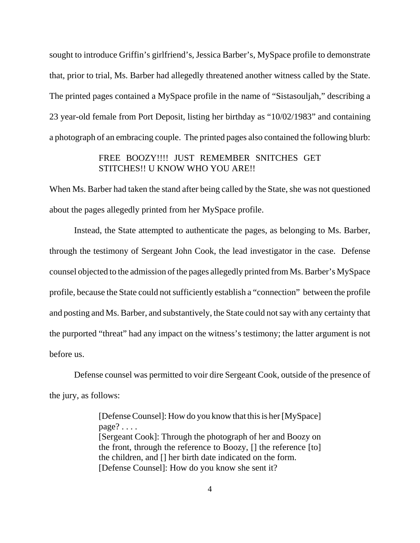sought to introduce Griffin's girlfriend's, Jessica Barber's, MySpace profile to demonstrate that, prior to trial, Ms. Barber had allegedly threatened another witness called by the State. The printed pages contained a MySpace profile in the name of "Sistasouljah," describing a 23 year-old female from Port Deposit, listing her birthday as "10/02/1983" and containing a photograph of an embracing couple. The printed pages also contained the following blurb:

### FREE BOOZY!!!! JUST REMEMBER SNITCHES GET STITCHES!! U KNOW WHO YOU ARE!!

When Ms. Barber had taken the stand after being called by the State, she was not questioned about the pages allegedly printed from her MySpace profile.

Instead, the State attempted to authenticate the pages, as belonging to Ms. Barber, through the testimony of Sergeant John Cook, the lead investigator in the case. Defense counsel objected to the admission of the pages allegedly printed from Ms. Barber's MySpace profile, because the State could not sufficiently establish a "connection" between the profile and posting and Ms. Barber, and substantively, the State could not say with any certainty that the purported "threat" had any impact on the witness's testimony; the latter argument is not before us.

Defense counsel was permitted to voir dire Sergeant Cook, outside of the presence of the jury, as follows:

> [Defense Counsel]: How do you know that this is her [MySpace] page? . . . . [Sergeant Cook]: Through the photograph of her and Boozy on the front, through the reference to Boozy, [] the reference [to] the children, and [] her birth date indicated on the form. [Defense Counsel]: How do you know she sent it?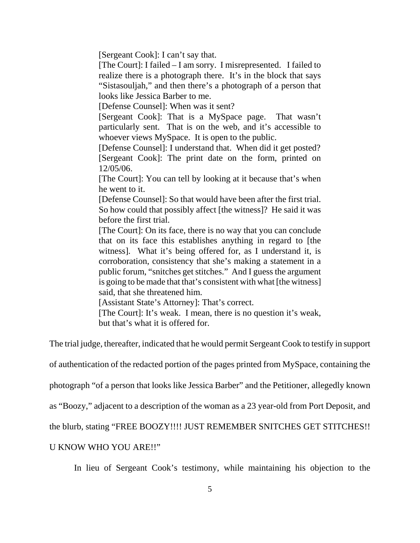[Sergeant Cook]: I can't say that.

[The Court]: I failed – I am sorry. I misrepresented. I failed to realize there is a photograph there. It's in the block that says "Sistasouljah," and then there's a photograph of a person that looks like Jessica Barber to me.

[Defense Counsel]: When was it sent?

[Sergeant Cook]: That is a MySpace page. That wasn't particularly sent. That is on the web, and it's accessible to whoever views MySpace. It is open to the public.

[Defense Counsel]: I understand that. When did it get posted? [Sergeant Cook]: The print date on the form, printed on 12/05/06.

[The Court]: You can tell by looking at it because that's when he went to it.

[Defense Counsel]: So that would have been after the first trial. So how could that possibly affect [the witness]? He said it was before the first trial.

[The Court]: On its face, there is no way that you can conclude that on its face this establishes anything in regard to [the witness]. What it's being offered for, as I understand it, is corroboration, consistency that she's making a statement in a public forum, "snitches get stitches." And I guess the argument is going to be made that that's consistent with what [the witness] said, that she threatened him.

[Assistant State's Attorney]: That's correct.

[The Court]: It's weak. I mean, there is no question it's weak, but that's what it is offered for.

The trial judge, thereafter, indicated that he would permit Sergeant Cook to testify in support

of authentication of the redacted portion of the pages printed from MySpace, containing the

photograph "of a person that looks like Jessica Barber" and the Petitioner, allegedly known

as "Boozy," adjacent to a description of the woman as a 23 year-old from Port Deposit, and

the blurb, stating "FREE BOOZY!!!! JUST REMEMBER SNITCHES GET STITCHES!!

#### U KNOW WHO YOU ARE!!"

In lieu of Sergeant Cook's testimony, while maintaining his objection to the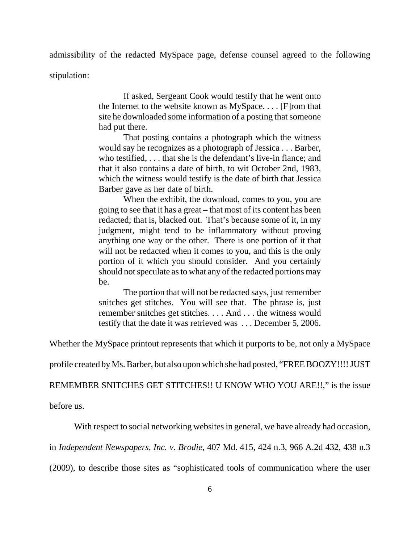admissibility of the redacted MySpace page, defense counsel agreed to the following

stipulation:

If asked, Sergeant Cook would testify that he went onto the Internet to the website known as MySpace. . . . [F]rom that site he downloaded some information of a posting that someone had put there.

That posting contains a photograph which the witness would say he recognizes as a photograph of Jessica . . . Barber, who testified, . . . that she is the defendant's live-in fiance; and that it also contains a date of birth, to wit October 2nd, 1983, which the witness would testify is the date of birth that Jessica Barber gave as her date of birth.

When the exhibit, the download, comes to you, you are going to see that it has a great – that most of its content has been redacted; that is, blacked out. That's because some of it, in my judgment, might tend to be inflammatory without proving anything one way or the other. There is one portion of it that will not be redacted when it comes to you, and this is the only portion of it which you should consider. And you certainly should not speculate as to what any of the redacted portions may be.

The portion that will not be redacted says, just remember snitches get stitches. You will see that. The phrase is, just remember snitches get stitches. . . . And . . . the witness would testify that the date it was retrieved was . . . December 5, 2006.

Whether the MySpace printout represents that which it purports to be, not only a MySpace

profile created by Ms. Barber, but also upon which she had posted, "FREE BOOZY!!!! JUST

REMEMBER SNITCHES GET STITCHES!! U KNOW WHO YOU ARE!!," is the issue

before us.

With respect to social networking websites in general, we have already had occasion,

in *Independent Newspapers, Inc. v. Brodie*, 407 Md. 415, 424 n.3, 966 A.2d 432, 438 n.3

(2009), to describe those sites as "sophisticated tools of communication where the user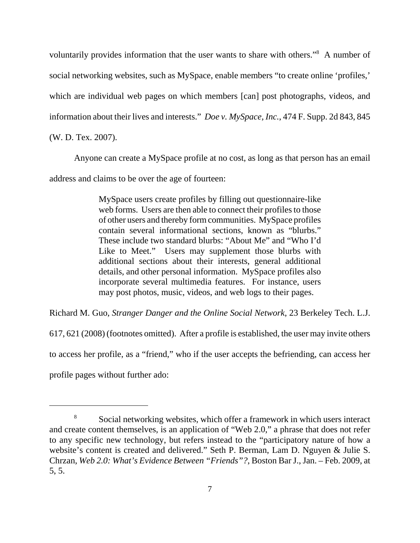voluntarily provides information that the user wants to share with others."<sup>8</sup> A number of social networking websites, such as MySpace, enable members "to create online 'profiles,' which are individual web pages on which members [can] post photographs, videos, and information about their lives and interests." *Doe v. MySpace, Inc.*, 474 F. Supp. 2d 843, 845 (W. D. Tex. 2007).

Anyone can create a MySpace profile at no cost, as long as that person has an email address and claims to be over the age of fourteen:

> MySpace users create profiles by filling out questionnaire-like web forms. Users are then able to connect their profiles to those of other users and thereby form communities. MySpace profiles contain several informational sections, known as "blurbs." These include two standard blurbs: "About Me" and "Who I'd Like to Meet." Users may supplement those blurbs with additional sections about their interests, general additional details, and other personal information. MySpace profiles also incorporate several multimedia features. For instance, users may post photos, music, videos, and web logs to their pages.

Richard M. Guo, *Stranger Danger and the Online Social Network*, 23 Berkeley Tech. L.J.

617, 621 (2008) (footnotes omitted). After a profile is established, the user may invite others

to access her profile, as a "friend," who if the user accepts the befriending, can access her

profile pages without further ado:

<sup>8</sup> Social networking websites, which offer a framework in which users interact and create content themselves, is an application of "Web 2.0," a phrase that does not refer to any specific new technology, but refers instead to the "participatory nature of how a website's content is created and delivered." Seth P. Berman, Lam D. Nguyen & Julie S. Chrzan, *Web 2.0: What's Evidence Between "Friends"?*, Boston Bar J., Jan. – Feb. 2009, at 5, 5.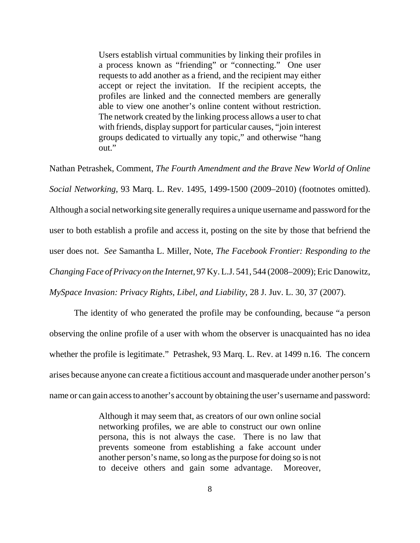Users establish virtual communities by linking their profiles in a process known as "friending" or "connecting." One user requests to add another as a friend, and the recipient may either accept or reject the invitation. If the recipient accepts, the profiles are linked and the connected members are generally able to view one another's online content without restriction. The network created by the linking process allows a user to chat with friends, display support for particular causes, "join interest groups dedicated to virtually any topic," and otherwise "hang out."

Nathan Petrashek, Comment, *The Fourth Amendment and the Brave New World of Online Social Networking*, 93 Marq. L. Rev. 1495, 1499-1500 (2009–2010) (footnotes omitted). Although a social networking site generally requires a unique username and password for the user to both establish a profile and access it, posting on the site by those that befriend the user does not. *See* Samantha L. Miller, Note, *The Facebook Frontier: Responding to the Changing Face of Privacy on the Internet*, 97 Ky. L.J. 541, 544 (2008–2009); Eric Danowitz*, MySpace Invasion: Privacy Rights, Libel, and Liability*, 28 J. Juv. L. 30, 37 (2007).

The identity of who generated the profile may be confounding, because "a person observing the online profile of a user with whom the observer is unacquainted has no idea whether the profile is legitimate." Petrashek, 93 Marq. L. Rev. at 1499 n.16. The concern arises because anyone can create a fictitious account and masquerade under another person's name or can gain access to another's account by obtaining the user's username and password:

> Although it may seem that, as creators of our own online social networking profiles, we are able to construct our own online persona, this is not always the case. There is no law that prevents someone from establishing a fake account under another person's name, so long as the purpose for doing so is not to deceive others and gain some advantage. Moreover,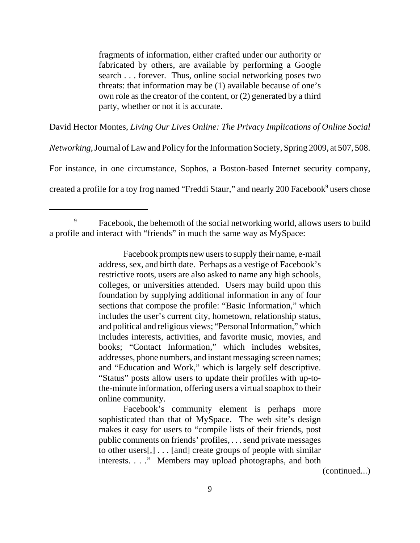fragments of information, either crafted under our authority or fabricated by others, are available by performing a Google search . . . forever. Thus, online social networking poses two threats: that information may be (1) available because of one's own role as the creator of the content, or (2) generated by a third party, whether or not it is accurate.

David Hector Montes, *Living Our Lives Online: The Privacy Implications of Online Social*

*Networking*, Journal of Law and Policy for the Information Society, Spring 2009, at 507, 508.

For instance, in one circumstance, Sophos, a Boston-based Internet security company,

created a profile for a toy frog named "Freddi Staur," and nearly 200 Facebook<sup>9</sup> users chose

Facebook prompts new users to supply their name, e-mail address, sex, and birth date. Perhaps as a vestige of Facebook's restrictive roots, users are also asked to name any high schools, colleges, or universities attended. Users may build upon this foundation by supplying additional information in any of four sections that compose the profile: "Basic Information," which includes the user's current city, hometown, relationship status, and political and religious views; "Personal Information," which includes interests, activities, and favorite music, movies, and books; "Contact Information," which includes websites, addresses, phone numbers, and instant messaging screen names; and "Education and Work," which is largely self descriptive. "Status" posts allow users to update their profiles with up-tothe-minute information, offering users a virtual soapbox to their online community.

Facebook's community element is perhaps more sophisticated than that of MySpace. The web site's design makes it easy for users to "compile lists of their friends, post public comments on friends' profiles, . . . send private messages to other users[,] . . . [and] create groups of people with similar interests. . . ." Members may upload photographs, and both

(continued...)

<sup>&</sup>lt;sup>9</sup> Facebook, the behemoth of the social networking world, allows users to build a profile and interact with "friends" in much the same way as MySpace: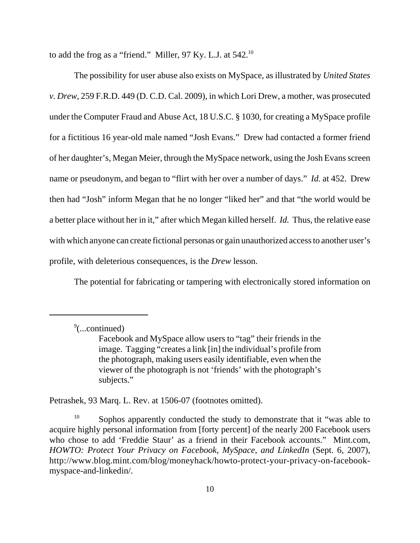to add the frog as a "friend." Miller, 97 Ky. L.J. at 542.10

The possibility for user abuse also exists on MySpace, as illustrated by *United States v. Drew*, 259 F.R.D. 449 (D. C.D. Cal. 2009), in which Lori Drew, a mother, was prosecuted under the Computer Fraud and Abuse Act, 18 U.S.C. § 1030, for creating a MySpace profile for a fictitious 16 year-old male named "Josh Evans." Drew had contacted a former friend of her daughter's, Megan Meier, through the MySpace network, using the Josh Evans screen name or pseudonym, and began to "flirt with her over a number of days." *Id.* at 452. Drew then had "Josh" inform Megan that he no longer "liked her" and that "the world would be a better place without her in it," after which Megan killed herself. *Id.* Thus, the relative ease with which anyone can create fictional personas or gain unauthorized access to another user's profile, with deleterious consequences, is the *Drew* lesson.

The potential for fabricating or tampering with electronically stored information on

Petrashek, 93 Marq. L. Rev. at 1506-07 (footnotes omitted).

<sup>&</sup>lt;sup>9</sup>(...continued)

Facebook and MySpace allow users to "tag" their friends in the image. Tagging "creates a link [in] the individual's profile from the photograph, making users easily identifiable, even when the viewer of the photograph is not 'friends' with the photograph's subjects."

Sophos apparently conducted the study to demonstrate that it "was able to acquire highly personal information from [forty percent] of the nearly 200 Facebook users who chose to add 'Freddie Staur' as a friend in their Facebook accounts." Mint.com, *HOWTO: Protect Your Privacy on Facebook, MySpace, and LinkedIn* (Sept. 6, 2007), http://www.blog.mint.com/blog/moneyhack/howto-protect-your-privacy-on-facebookmyspace-and-linkedin/.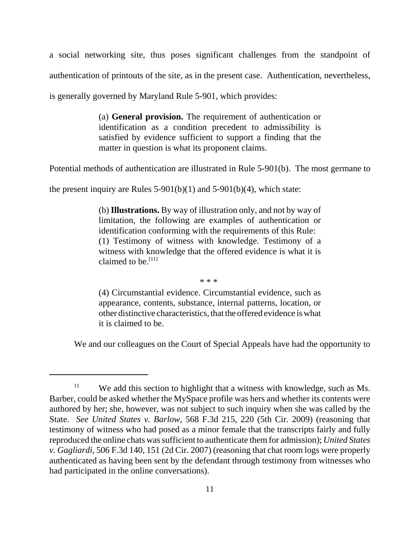a social networking site, thus poses significant challenges from the standpoint of authentication of printouts of the site, as in the present case. Authentication, nevertheless,

is generally governed by Maryland Rule 5-901, which provides:

(a) **General provision.** The requirement of authentication or identification as a condition precedent to admissibility is satisfied by evidence sufficient to support a finding that the matter in question is what its proponent claims.

Potential methods of authentication are illustrated in Rule 5-901(b). The most germane to

the present inquiry are Rules  $5-901(b)(1)$  and  $5-901(b)(4)$ , which state:

(b) **Illustrations.** By way of illustration only, and not by way of limitation, the following are examples of authentication or identification conforming with the requirements of this Rule: (1) Testimony of witness with knowledge. Testimony of a witness with knowledge that the offered evidence is what it is claimed to be.<sup>[11]</sup>

\* \* \*

(4) Circumstantial evidence. Circumstantial evidence, such as appearance, contents, substance, internal patterns, location, or other distinctive characteristics, that the offered evidence is what it is claimed to be.

We and our colleagues on the Court of Special Appeals have had the opportunity to

<sup>&</sup>lt;sup>11</sup> We add this section to highlight that a witness with knowledge, such as Ms. Barber, could be asked whether the MySpace profile was hers and whether its contents were authored by her; she, however, was not subject to such inquiry when she was called by the State. *See United States v. Barlow*, 568 F.3d 215, 220 (5th Cir. 2009) (reasoning that testimony of witness who had posed as a minor female that the transcripts fairly and fully reproduced the online chats was sufficient to authenticate them for admission); *United States v. Gagliardi*, 506 F.3d 140, 151 (2d Cir. 2007) (reasoning that chat room logs were properly authenticated as having been sent by the defendant through testimony from witnesses who had participated in the online conversations).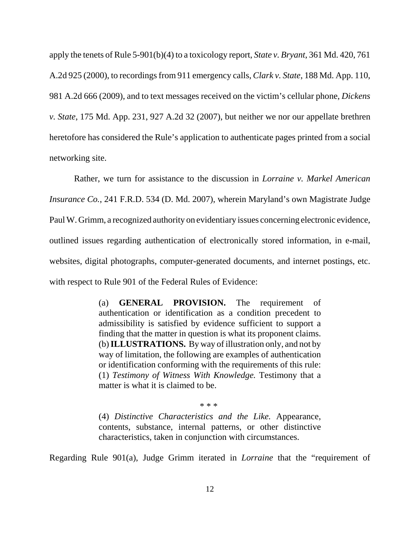apply the tenets of Rule 5-901(b)(4) to a toxicology report, *State v. Bryant*, 361 Md. 420, 761 A.2d 925 (2000), to recordings from 911 emergency calls, *Clark v. State*, 188 Md. App. 110, 981 A.2d 666 (2009), and to text messages received on the victim's cellular phone, *Dickens v. State*, 175 Md. App. 231, 927 A.2d 32 (2007), but neither we nor our appellate brethren heretofore has considered the Rule's application to authenticate pages printed from a social networking site.

Rather, we turn for assistance to the discussion in *Lorraine v. Markel American Insurance Co.*, 241 F.R.D. 534 (D. Md. 2007), wherein Maryland's own Magistrate Judge Paul W. Grimm, a recognized authority on evidentiary issues concerning electronic evidence, outlined issues regarding authentication of electronically stored information, in e-mail, websites, digital photographs, computer-generated documents, and internet postings, etc. with respect to Rule 901 of the Federal Rules of Evidence:

> (a) **GENERAL PROVISION.** The requirement of authentication or identification as a condition precedent to admissibility is satisfied by evidence sufficient to support a finding that the matter in question is what its proponent claims. (b) **ILLUSTRATIONS.** By way of illustration only, and not by way of limitation, the following are examples of authentication or identification conforming with the requirements of this rule: (1) *Testimony of Witness With Knowledge.* Testimony that a matter is what it is claimed to be.

> > \* \* \*

(4) *Distinctive Characteristics and the Like.* Appearance, contents, substance, internal patterns, or other distinctive characteristics, taken in conjunction with circumstances.

Regarding Rule 901(a), Judge Grimm iterated in *Lorraine* that the "requirement of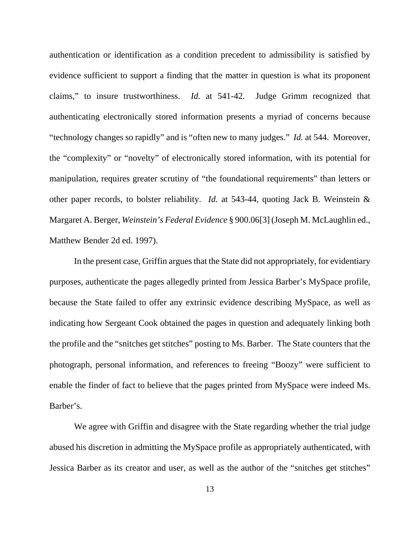authentication or identification as a condition precedent to admissibility is satisfied by evidence sufficient to support a finding that the matter in question is what its proponent claims," to insure trustworthiness. *Id.* at 541-42. Judge Grimm recognized that authenticating electronically stored information presents a myriad of concerns because "technology changes so rapidly" and is "often new to many judges." *Id.* at 544. Moreover, the "complexity" or "novelty" of electronically stored information, with its potential for manipulation, requires greater scrutiny of "the foundational requirements" than letters or other paper records, to bolster reliability. *Id.* at 543-44, quoting Jack B. Weinstein & Margaret A. Berger, *Weinstein's Federal Evidence* § 900.06[3] (Joseph M. McLaughlin ed., Matthew Bender 2d ed. 1997).

In the present case, Griffin argues that the State did not appropriately, for evidentiary purposes, authenticate the pages allegedly printed from Jessica Barber's MySpace profile, because the State failed to offer any extrinsic evidence describing MySpace, as well as indicating how Sergeant Cook obtained the pages in question and adequately linking both the profile and the "snitches get stitches" posting to Ms. Barber. The State counters that the photograph, personal information, and references to freeing "Boozy" were sufficient to enable the finder of fact to believe that the pages printed from MySpace were indeed Ms. Barber's.

We agree with Griffin and disagree with the State regarding whether the trial judge abused his discretion in admitting the MySpace profile as appropriately authenticated, with Jessica Barber as its creator and user, as well as the author of the "snitches get stitches"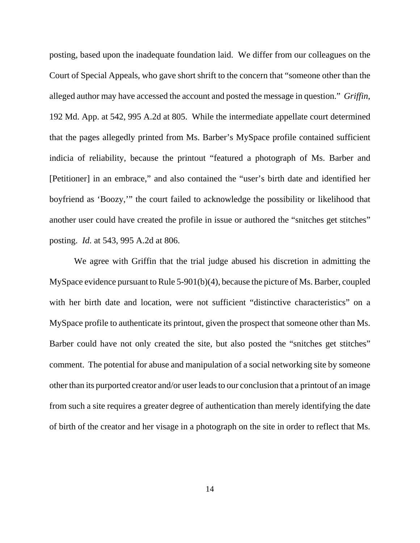posting, based upon the inadequate foundation laid. We differ from our colleagues on the Court of Special Appeals, who gave short shrift to the concern that "someone other than the alleged author may have accessed the account and posted the message in question." *Griffin*, 192 Md. App. at 542, 995 A.2d at 805. While the intermediate appellate court determined that the pages allegedly printed from Ms. Barber's MySpace profile contained sufficient indicia of reliability, because the printout "featured a photograph of Ms. Barber and [Petitioner] in an embrace," and also contained the "user's birth date and identified her boyfriend as 'Boozy,'" the court failed to acknowledge the possibility or likelihood that another user could have created the profile in issue or authored the "snitches get stitches" posting. *Id.* at 543, 995 A.2d at 806.

We agree with Griffin that the trial judge abused his discretion in admitting the MySpace evidence pursuant to Rule 5-901(b)(4), because the picture of Ms. Barber, coupled with her birth date and location, were not sufficient "distinctive characteristics" on a MySpace profile to authenticate its printout, given the prospect that someone other than Ms. Barber could have not only created the site, but also posted the "snitches get stitches" comment. The potential for abuse and manipulation of a social networking site by someone other than its purported creator and/or user leads to our conclusion that a printout of an image from such a site requires a greater degree of authentication than merely identifying the date of birth of the creator and her visage in a photograph on the site in order to reflect that Ms.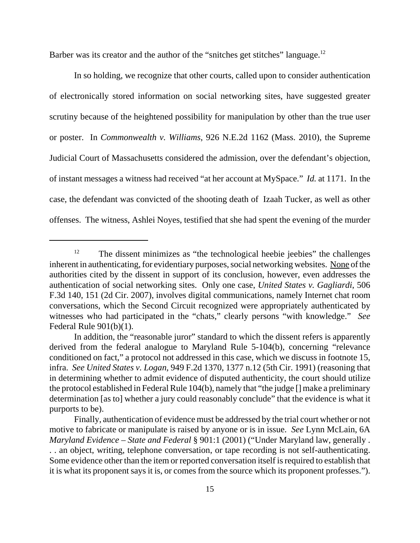Barber was its creator and the author of the "snitches get stitches" language.<sup>12</sup>

In so holding, we recognize that other courts, called upon to consider authentication of electronically stored information on social networking sites, have suggested greater scrutiny because of the heightened possibility for manipulation by other than the true user or poster. In *Commonwealth v. Williams*, 926 N.E.2d 1162 (Mass. 2010), the Supreme Judicial Court of Massachusetts considered the admission, over the defendant's objection, of instant messages a witness had received "at her account at MySpace." *Id.* at 1171. In the case, the defendant was convicted of the shooting death of Izaah Tucker, as well as other offenses. The witness, Ashlei Noyes, testified that she had spent the evening of the murder

 $12$  The dissent minimizes as "the technological heebie jeebies" the challenges inherent in authenticating, for evidentiary purposes, social networking websites. None of the authorities cited by the dissent in support of its conclusion, however, even addresses the authentication of social networking sites. Only one case, *United States v. Gagliardi*, 506 F.3d 140, 151 (2d Cir. 2007), involves digital communications, namely Internet chat room conversations, which the Second Circuit recognized were appropriately authenticated by witnesses who had participated in the "chats," clearly persons "with knowledge." *See* Federal Rule 901(b)(1).

In addition, the "reasonable juror" standard to which the dissent refers is apparently derived from the federal analogue to Maryland Rule 5-104(b), concerning "relevance conditioned on fact," a protocol not addressed in this case, which we discuss in footnote 15, infra. *See United States v. Logan*, 949 F.2d 1370, 1377 n.12 (5th Cir. 1991) (reasoning that in determining whether to admit evidence of disputed authenticity, the court should utilize the protocol established in Federal Rule 104(b), namely that "the judge [] make a preliminary determination [as to] whether a jury could reasonably conclude" that the evidence is what it purports to be).

Finally, authentication of evidence must be addressed by the trial court whether or not motive to fabricate or manipulate is raised by anyone or is in issue. *See* Lynn McLain, 6A *Maryland Evidence – State and Federal* § 901:1 (2001) ("Under Maryland law, generally . . . an object, writing, telephone conversation, or tape recording is not self-authenticating. Some evidence other than the item or reported conversation itself is required to establish that it is what its proponent says it is, or comes from the source which its proponent professes.").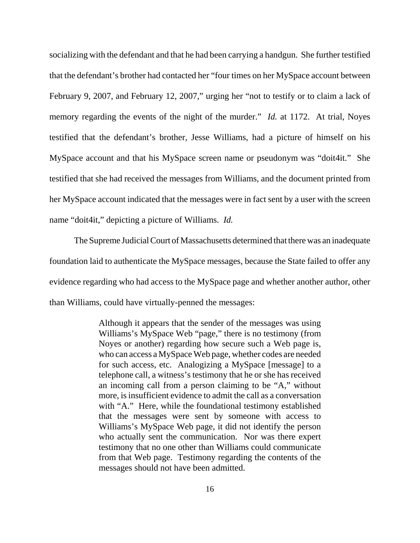socializing with the defendant and that he had been carrying a handgun. She further testified that the defendant's brother had contacted her "four times on her MySpace account between February 9, 2007, and February 12, 2007," urging her "not to testify or to claim a lack of memory regarding the events of the night of the murder." *Id.* at 1172. At trial, Noyes testified that the defendant's brother, Jesse Williams, had a picture of himself on his MySpace account and that his MySpace screen name or pseudonym was "doit4it." She testified that she had received the messages from Williams, and the document printed from her MySpace account indicated that the messages were in fact sent by a user with the screen name "doit4it," depicting a picture of Williams. *Id.* 

The Supreme Judicial Court of Massachusetts determined that there was an inadequate foundation laid to authenticate the MySpace messages, because the State failed to offer any evidence regarding who had access to the MySpace page and whether another author, other than Williams, could have virtually-penned the messages:

> Although it appears that the sender of the messages was using Williams's MySpace Web "page," there is no testimony (from Noyes or another) regarding how secure such a Web page is, who can access a MySpace Web page, whether codes are needed for such access, etc. Analogizing a MySpace [message] to a telephone call, a witness's testimony that he or she has received an incoming call from a person claiming to be "A," without more, is insufficient evidence to admit the call as a conversation with "A." Here, while the foundational testimony established that the messages were sent by someone with access to Williams's MySpace Web page, it did not identify the person who actually sent the communication. Nor was there expert testimony that no one other than Williams could communicate from that Web page. Testimony regarding the contents of the messages should not have been admitted.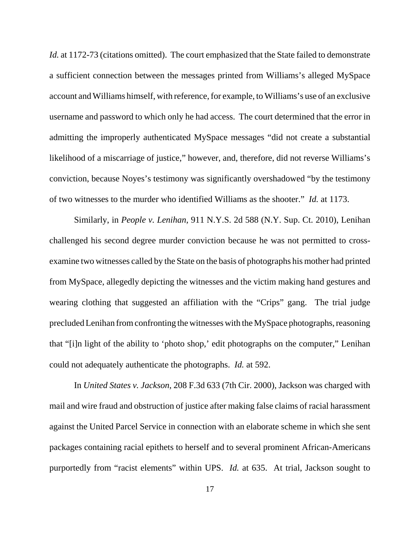*Id.* at 1172-73 (citations omitted). The court emphasized that the State failed to demonstrate a sufficient connection between the messages printed from Williams's alleged MySpace account and Williams himself, with reference, for example, to Williams's use of an exclusive username and password to which only he had access. The court determined that the error in admitting the improperly authenticated MySpace messages "did not create a substantial likelihood of a miscarriage of justice," however, and, therefore, did not reverse Williams's conviction, because Noyes's testimony was significantly overshadowed "by the testimony of two witnesses to the murder who identified Williams as the shooter." *Id.* at 1173.

Similarly, in *People v. Lenihan*, 911 N.Y.S. 2d 588 (N.Y. Sup. Ct. 2010), Lenihan challenged his second degree murder conviction because he was not permitted to crossexamine two witnesses called by the State on the basis of photographs his mother had printed from MySpace, allegedly depicting the witnesses and the victim making hand gestures and wearing clothing that suggested an affiliation with the "Crips" gang. The trial judge precluded Lenihan from confronting the witnesses with the MySpace photographs, reasoning that "[i]n light of the ability to 'photo shop,' edit photographs on the computer," Lenihan could not adequately authenticate the photographs. *Id.* at 592.

In *United States v. Jackson*, 208 F.3d 633 (7th Cir. 2000), Jackson was charged with mail and wire fraud and obstruction of justice after making false claims of racial harassment against the United Parcel Service in connection with an elaborate scheme in which she sent packages containing racial epithets to herself and to several prominent African-Americans purportedly from "racist elements" within UPS. *Id.* at 635. At trial, Jackson sought to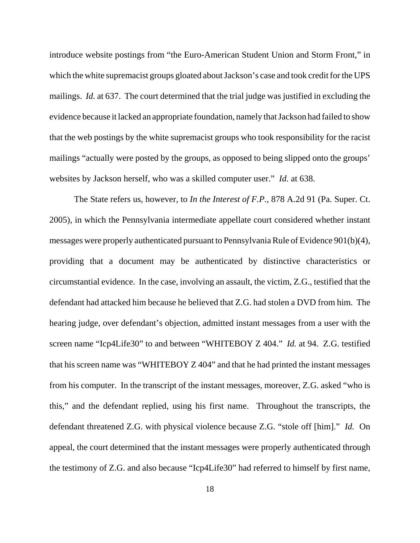introduce website postings from "the Euro-American Student Union and Storm Front," in which the white supremacist groups gloated about Jackson's case and took credit for the UPS mailings. *Id.* at 637. The court determined that the trial judge was justified in excluding the evidence because it lacked an appropriate foundation, namely that Jackson had failed to show that the web postings by the white supremacist groups who took responsibility for the racist mailings "actually were posted by the groups, as opposed to being slipped onto the groups' websites by Jackson herself, who was a skilled computer user." *Id.* at 638.

The State refers us, however, to *In the Interest of F.P.*, 878 A.2d 91 (Pa. Super. Ct. 2005), in which the Pennsylvania intermediate appellate court considered whether instant messages were properly authenticated pursuant to Pennsylvania Rule of Evidence 901(b)(4), providing that a document may be authenticated by distinctive characteristics or circumstantial evidence. In the case, involving an assault, the victim, Z.G., testified that the defendant had attacked him because he believed that Z.G. had stolen a DVD from him. The hearing judge, over defendant's objection, admitted instant messages from a user with the screen name "Icp4Life30" to and between "WHITEBOY Z 404." *Id.* at 94. Z.G. testified that his screen name was "WHITEBOY Z 404" and that he had printed the instant messages from his computer. In the transcript of the instant messages, moreover, Z.G. asked "who is this," and the defendant replied, using his first name. Throughout the transcripts, the defendant threatened Z.G. with physical violence because Z.G. "stole off [him]." *Id.* On appeal, the court determined that the instant messages were properly authenticated through the testimony of Z.G. and also because "Icp4Life30" had referred to himself by first name,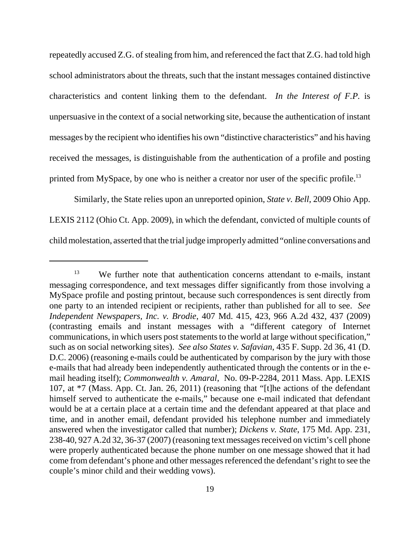repeatedly accused Z.G. of stealing from him, and referenced the fact that Z.G. had told high school administrators about the threats, such that the instant messages contained distinctive characteristics and content linking them to the defendant. *In the Interest of F.P.* is unpersuasive in the context of a social networking site, because the authentication of instant messages by the recipient who identifies his own "distinctive characteristics" and his having received the messages, is distinguishable from the authentication of a profile and posting printed from MySpace, by one who is neither a creator nor user of the specific profile.<sup>13</sup>

Similarly, the State relies upon an unreported opinion, *State v. Bell*, 2009 Ohio App. LEXIS 2112 (Ohio Ct. App. 2009), in which the defendant, convicted of multiple counts of child molestation, asserted that the trial judge improperly admitted "online conversations and

<sup>&</sup>lt;sup>13</sup> We further note that authentication concerns attendant to e-mails, instant messaging correspondence, and text messages differ significantly from those involving a MySpace profile and posting printout, because such correspondences is sent directly from one party to an intended recipient or recipients, rather than published for all to see. *See Independent Newspapers, Inc. v. Brodie*, 407 Md. 415, 423, 966 A.2d 432, 437 (2009) (contrasting emails and instant messages with a "different category of Internet communications, in which users post statements to the world at large without specification," such as on social networking sites). *See also States v. Safavian*, 435 F. Supp. 2d 36, 41 (D. D.C. 2006) (reasoning e-mails could be authenticated by comparison by the jury with those e-mails that had already been independently authenticated through the contents or in the email heading itself); *Commonwealth v. Amaral*, No. 09-P-2284, 2011 Mass. App. LEXIS 107, at \*7 (Mass. App. Ct. Jan. 26, 2011) (reasoning that "[t]he actions of the defendant himself served to authenticate the e-mails," because one e-mail indicated that defendant would be at a certain place at a certain time and the defendant appeared at that place and time, and in another email, defendant provided his telephone number and immediately answered when the investigator called that number); *Dickens v. State*, 175 Md. App. 231, 238-40, 927 A.2d 32, 36-37 (2007) (reasoning text messages received on victim's cell phone were properly authenticated because the phone number on one message showed that it had come from defendant's phone and other messages referenced the defendant's right to see the couple's minor child and their wedding vows).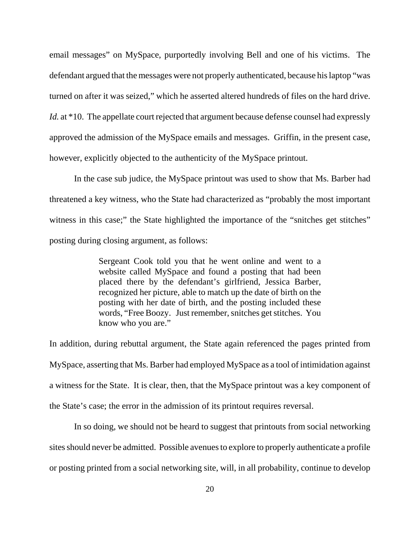email messages" on MySpace, purportedly involving Bell and one of his victims. The defendant argued that the messages were not properly authenticated, because his laptop "was turned on after it was seized," which he asserted altered hundreds of files on the hard drive. *Id.* at \*10. The appellate court rejected that argument because defense counsel had expressly approved the admission of the MySpace emails and messages. Griffin, in the present case, however, explicitly objected to the authenticity of the MySpace printout.

In the case sub judice, the MySpace printout was used to show that Ms. Barber had threatened a key witness, who the State had characterized as "probably the most important witness in this case;" the State highlighted the importance of the "snitches get stitches" posting during closing argument, as follows:

> Sergeant Cook told you that he went online and went to a website called MySpace and found a posting that had been placed there by the defendant's girlfriend, Jessica Barber, recognized her picture, able to match up the date of birth on the posting with her date of birth, and the posting included these words, "Free Boozy. Just remember, snitches get stitches. You know who you are."

In addition, during rebuttal argument, the State again referenced the pages printed from MySpace, asserting that Ms. Barber had employed MySpace as a tool of intimidation against a witness for the State. It is clear, then, that the MySpace printout was a key component of the State's case; the error in the admission of its printout requires reversal.

In so doing, we should not be heard to suggest that printouts from social networking sites should never be admitted. Possible avenues to explore to properly authenticate a profile or posting printed from a social networking site, will, in all probability, continue to develop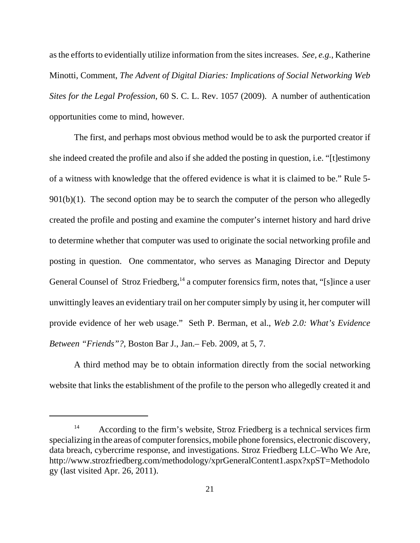as the efforts to evidentially utilize information from the sites increases. *See, e.g.*, Katherine Minotti, Comment, *The Advent of Digital Diaries: Implications of Social Networking Web Sites for the Legal Profession*, 60 S. C. L. Rev. 1057 (2009). A number of authentication opportunities come to mind, however.

The first, and perhaps most obvious method would be to ask the purported creator if she indeed created the profile and also if she added the posting in question, i.e. "[t]estimony of a witness with knowledge that the offered evidence is what it is claimed to be." Rule 5-  $901(b)(1)$ . The second option may be to search the computer of the person who allegedly created the profile and posting and examine the computer's internet history and hard drive to determine whether that computer was used to originate the social networking profile and posting in question. One commentator, who serves as Managing Director and Deputy General Counsel of Stroz Friedberg,  $14$  a computer forensics firm, notes that, "[s]ince a user unwittingly leaves an evidentiary trail on her computer simply by using it, her computer will provide evidence of her web usage." Seth P. Berman, et al., *Web 2.0: What's Evidence Between "Friends"?*, Boston Bar J., Jan.– Feb. 2009, at 5, 7.

A third method may be to obtain information directly from the social networking website that links the establishment of the profile to the person who allegedly created it and

<sup>&</sup>lt;sup>14</sup> According to the firm's website, Stroz Friedberg is a technical services firm specializing in the areas of computer forensics, mobile phone forensics, electronic discovery, data breach, cybercrime response, and investigations. Stroz Friedberg LLC–Who We Are, http://www.strozfriedberg.com/methodology/xprGeneralContent1.aspx?xpST=Methodolo gy (last visited Apr. 26, 2011).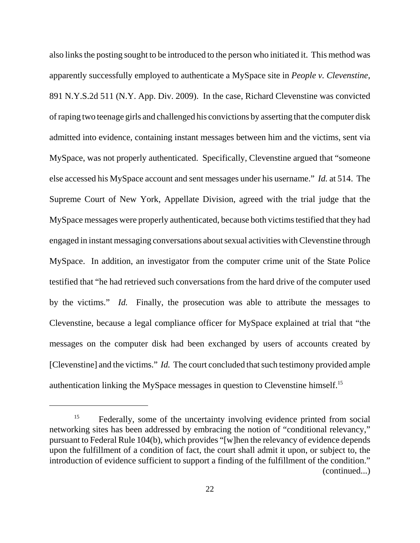also links the posting sought to be introduced to the person who initiated it. This method was apparently successfully employed to authenticate a MySpace site in *People v. Clevenstine*, 891 N.Y.S.2d 511 (N.Y. App. Div. 2009). In the case, Richard Clevenstine was convicted of raping two teenage girls and challenged his convictions by asserting that the computer disk admitted into evidence, containing instant messages between him and the victims, sent via MySpace, was not properly authenticated. Specifically, Clevenstine argued that "someone else accessed his MySpace account and sent messages under his username." *Id.* at 514. The Supreme Court of New York, Appellate Division, agreed with the trial judge that the MySpace messages were properly authenticated, because both victims testified that they had engaged in instant messaging conversations about sexual activities with Clevenstine through MySpace. In addition, an investigator from the computer crime unit of the State Police testified that "he had retrieved such conversations from the hard drive of the computer used by the victims." *Id.* Finally, the prosecution was able to attribute the messages to Clevenstine, because a legal compliance officer for MySpace explained at trial that "the messages on the computer disk had been exchanged by users of accounts created by [Clevenstine] and the victims." *Id.* The court concluded that such testimony provided ample authentication linking the MySpace messages in question to Clevenstine himself.15

<sup>&</sup>lt;sup>15</sup> Federally, some of the uncertainty involving evidence printed from social networking sites has been addressed by embracing the notion of "conditional relevancy," pursuant to Federal Rule 104(b), which provides "[w]hen the relevancy of evidence depends upon the fulfillment of a condition of fact, the court shall admit it upon, or subject to, the introduction of evidence sufficient to support a finding of the fulfillment of the condition." (continued...)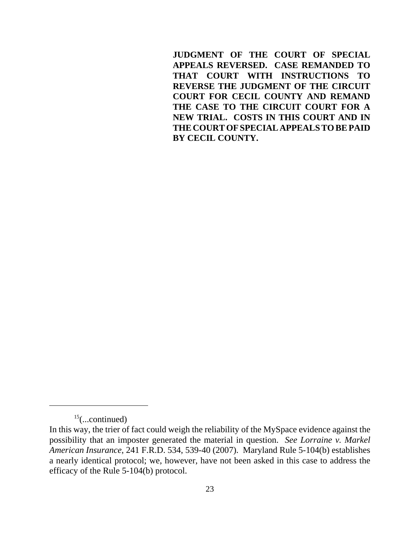**JUDGMENT OF THE COURT OF SPECIAL APPEALS REVERSED. CASE REMANDED TO THAT COURT WITH INSTRUCTIONS TO REVERSE THE JUDGMENT OF THE CIRCUIT COURT FOR CECIL COUNTY AND REMAND THE CASE TO THE CIRCUIT COURT FOR A NEW TRIAL. COSTS IN THIS COURT AND IN THE COURT OF SPECIAL APPEALS TO BE PAID BY CECIL COUNTY.**

 $15$ (...continued)

In this way, the trier of fact could weigh the reliability of the MySpace evidence against the possibility that an imposter generated the material in question. *See Lorraine v. Markel American Insurance*, 241 F.R.D. 534, 539-40 (2007). Maryland Rule 5-104(b) establishes a nearly identical protocol; we, however, have not been asked in this case to address the efficacy of the Rule 5-104(b) protocol.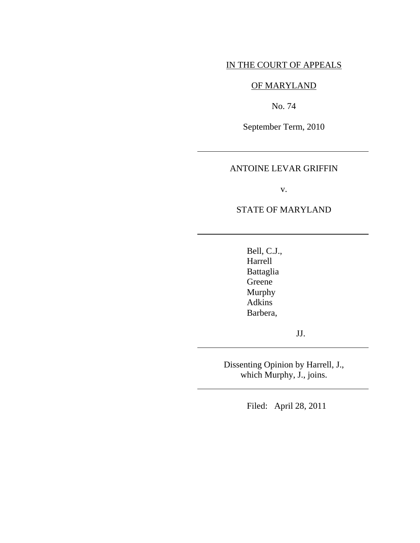## IN THE COURT OF APPEALS

## OF MARYLAND

No. 74

September Term, 2010

## ANTOINE LEVAR GRIFFIN

 $\overline{a}$ 

 $\overline{a}$ 

l

 $\overline{a}$ 

v.

### STATE OF MARYLAND

 Bell, C.J., Harrell Battaglia Greene Murphy Adkins Barbera,

JJ.

Dissenting Opinion by Harrell, J., which Murphy, J., joins.

Filed: April 28, 2011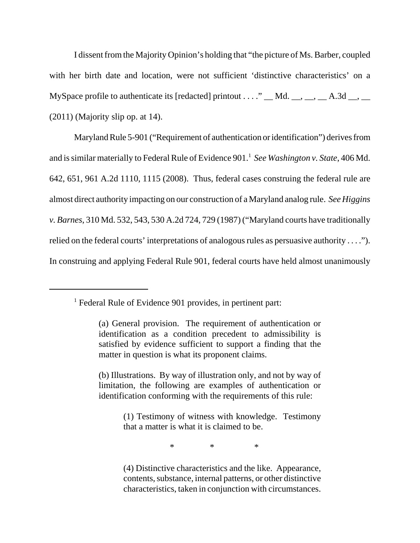I dissent from the Majority Opinion's holding that "the picture of Ms. Barber, coupled with her birth date and location, were not sufficient 'distinctive characteristics' on a MySpace profile to authenticate its [redacted] printout  $\dots$ " \_\_ Md. \_\_, \_\_, \_\_ A.3d \_\_, \_\_ (2011) (Majority slip op. at 14).

Maryland Rule 5-901 ("Requirement of authentication or identification") derives from and is similar materially to Federal Rule of Evidence 901.<sup>1</sup> See Washington v. State, 406 Md. 642, 651, 961 A.2d 1110, 1115 (2008). Thus, federal cases construing the federal rule are almost direct authority impacting on our construction of a Maryland analog rule. *See Higgins v. Barnes*, 310 Md. 532, 543, 530 A.2d 724, 729 (1987) ("Maryland courts have traditionally relied on the federal courts' interpretations of analogous rules as persuasive authority . . . ."). In construing and applying Federal Rule 901, federal courts have held almost unanimously

(b) Illustrations. By way of illustration only, and not by way of limitation, the following are examples of authentication or identification conforming with the requirements of this rule:

> (1) Testimony of witness with knowledge. Testimony that a matter is what it is claimed to be.

 $*$  \* \* \* \*

(4) Distinctive characteristics and the like. Appearance, contents, substance, internal patterns, or other distinctive characteristics, taken in conjunction with circumstances.

<sup>&</sup>lt;sup>1</sup> Federal Rule of Evidence 901 provides, in pertinent part:

<sup>(</sup>a) General provision. The requirement of authentication or identification as a condition precedent to admissibility is satisfied by evidence sufficient to support a finding that the matter in question is what its proponent claims.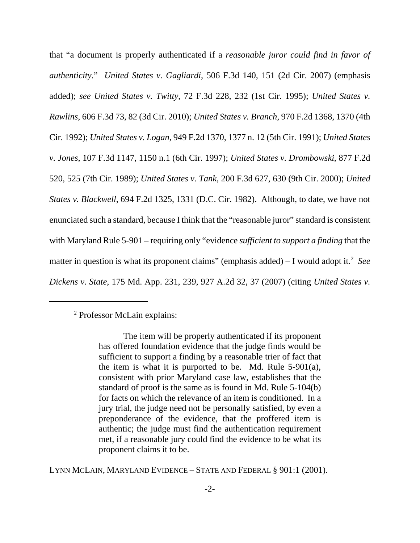that "a document is properly authenticated if a *reasonable juror could find in favor of authenticity*." *United States v. Gagliardi*, 506 F.3d 140, 151 (2d Cir. 2007) (emphasis added); *see United States v. Twitty*, 72 F.3d 228, 232 (1st Cir. 1995); *United States v. Rawlins*, 606 F.3d 73, 82 (3d Cir. 2010); *United States v. Branch*, 970 F.2d 1368, 1370 (4th Cir. 1992); *United States v. Logan*, 949 F.2d 1370, 1377 n. 12 (5th Cir. 1991); *United States v. Jones*, 107 F.3d 1147, 1150 n.1 (6th Cir. 1997); *United States v. Drombowski*, 877 F.2d 520, 525 (7th Cir. 1989); *United States v. Tank*, 200 F.3d 627, 630 (9th Cir. 2000); *United States v. Blackwell*, 694 F.2d 1325, 1331 (D.C. Cir. 1982). Although, to date, we have not enunciated such a standard, because I think that the "reasonable juror" standard is consistent with Maryland Rule 5-901 – requiring only "evidence *sufficient to support a finding* that the matter in question is what its proponent claims" (emphasis added) – I would adopt it.<sup>2</sup> See *Dickens v. State*, 175 Md. App. 231, 239, 927 A.2d 32, 37 (2007) (citing *United States v.*

LYNN MCLAIN, MARYLAND EVIDENCE – STATE AND FEDERAL § 901:1 (2001).

<sup>2</sup> Professor McLain explains:

The item will be properly authenticated if its proponent has offered foundation evidence that the judge finds would be sufficient to support a finding by a reasonable trier of fact that the item is what it is purported to be. Md. Rule 5-901(a), consistent with prior Maryland case law, establishes that the standard of proof is the same as is found in Md. Rule 5-104(b) for facts on which the relevance of an item is conditioned. In a jury trial, the judge need not be personally satisfied, by even a preponderance of the evidence, that the proffered item is authentic; the judge must find the authentication requirement met, if a reasonable jury could find the evidence to be what its proponent claims it to be.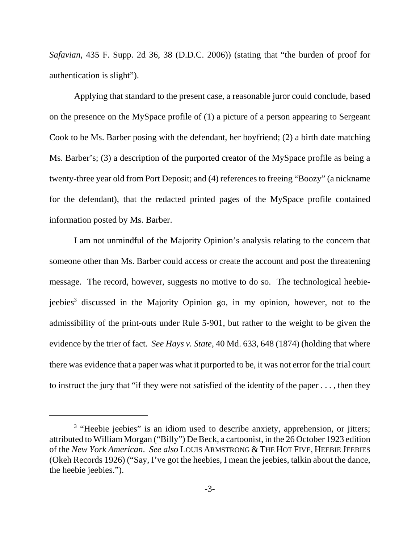*Safavian*, 435 F. Supp. 2d 36, 38 (D.D.C. 2006)) (stating that "the burden of proof for authentication is slight").

Applying that standard to the present case, a reasonable juror could conclude, based on the presence on the MySpace profile of (1) a picture of a person appearing to Sergeant Cook to be Ms. Barber posing with the defendant, her boyfriend; (2) a birth date matching Ms. Barber's; (3) a description of the purported creator of the MySpace profile as being a twenty-three year old from Port Deposit; and (4) references to freeing "Boozy" (a nickname for the defendant), that the redacted printed pages of the MySpace profile contained information posted by Ms. Barber.

I am not unmindful of the Majority Opinion's analysis relating to the concern that someone other than Ms. Barber could access or create the account and post the threatening message. The record, however, suggests no motive to do so. The technological heebiejeebies<sup>3</sup> discussed in the Majority Opinion go, in my opinion, however, not to the admissibility of the print-outs under Rule 5-901, but rather to the weight to be given the evidence by the trier of fact. *See Hays v. State*, 40 Md. 633, 648 (1874) (holding that where there was evidence that a paper was what it purported to be, it was not error for the trial court to instruct the jury that "if they were not satisfied of the identity of the paper . . . , then they

<sup>&</sup>lt;sup>3</sup> "Heebie jeebies" is an idiom used to describe anxiety, apprehension, or jitters; attributed to William Morgan ("Billy") De Beck, a cartoonist, in the 26 October 1923 edition of the *New York American*. *See also* LOUIS ARMSTRONG & THE HOT FIVE, HEEBIE JEEBIES (Okeh Records 1926) ("Say, I've got the heebies, I mean the jeebies, talkin about the dance, the heebie jeebies.").